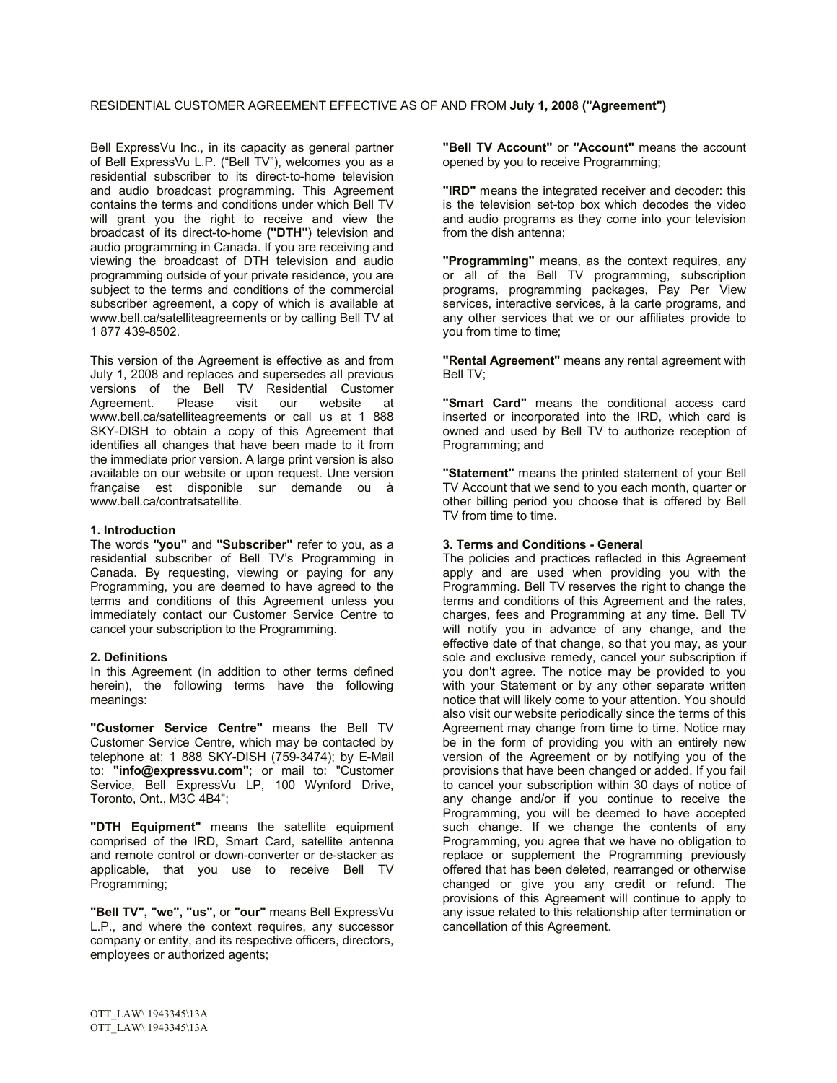Bell ExpressVu Inc., in its capacity as general partner of Bell ExpressVu L.P. ("Bell TV"), welcomes you as a residential subscriber to its direct-to-home television and audio broadcast programming. This Agreement contains the terms and conditions under which Bell TV will grant you the right to receive and view the broadcast of its direct-to-home **("DTH"**) television and audio programming in Canada. If you are receiving and viewing the broadcast of DTH television and audio programming outside of your private residence, you are subject to the terms and conditions of the commercial subscriber agreement, a copy of which is available at www.bell.ca/satelliteagreements or by calling Bell TV at 1 877 439-8502.

This version of the Agreement is effective as and from July 1, 2008 and replaces and supersedes all previous versions of the Bell TV Residential Customer<br>Agreement. Please visit our website at Agreement. Please visit our website at www.bell.ca/satelliteagreements or call us at 1 888 SKY-DISH to obtain a copy of this Agreement that identifies all changes that have been made to it from the immediate prior version. A large print version is also available on our website or upon request. Une version française est disponible sur demande ou à www.bell.ca/contratsatellite.

# **1. Introduction**

The words **"you"** and **"Subscriber"** refer to you, as a residential subscriber of Bell TV's Programming in Canada. By requesting, viewing or paying for any Programming, you are deemed to have agreed to the terms and conditions of this Agreement unless you immediately contact our Customer Service Centre to cancel your subscription to the Programming.

## **2. Definitions**

In this Agreement (in addition to other terms defined herein), the following terms have the following meanings:

**"Customer Service Centre"** means the Bell TV Customer Service Centre, which may be contacted by telephone at: 1 888 SKY-DISH (759-3474); by E-Mail to: **"info@expressvu.com"**; or mail to: "Customer Service, Bell ExpressVu LP, 100 Wynford Drive, Toronto, Ont., M3C 4B4";

**"DTH Equipment"** means the satellite equipment comprised of the IRD, Smart Card, satellite antenna and remote control or down-converter or de-stacker as applicable, that you use to receive Bell TV Programming;

**"Bell TV", "we", "us",** or **"our"** means Bell ExpressVu L.P., and where the context requires, any successor company or entity, and its respective officers, directors, employees or authorized agents;

**"Bell TV Account"** or **"Account"** means the account opened by you to receive Programming;

**"IRD"** means the integrated receiver and decoder: this is the television set-top box which decodes the video and audio programs as they come into your television from the dish antenna;

**"Programming"** means, as the context requires, any or all of the Bell TV programming, subscription programs, programming packages, Pay Per View services, interactive services, à la carte programs, and any other services that we or our affiliates provide to you from time to time;

**"Rental Agreement"** means any rental agreement with Bell TV;

**"Smart Card"** means the conditional access card inserted or incorporated into the IRD, which card is owned and used by Bell TV to authorize reception of Programming; and

**"Statement"** means the printed statement of your Bell TV Account that we send to you each month, quarter or other billing period you choose that is offered by Bell TV from time to time.

## **3. Terms and Conditions - General**

The policies and practices reflected in this Agreement apply and are used when providing you with the Programming. Bell TV reserves the right to change the terms and conditions of this Agreement and the rates, charges, fees and Programming at any time. Bell TV will notify you in advance of any change, and the effective date of that change, so that you may, as your sole and exclusive remedy, cancel your subscription if you don't agree. The notice may be provided to you with your Statement or by any other separate written notice that will likely come to your attention. You should also visit our website periodically since the terms of this Agreement may change from time to time. Notice may be in the form of providing you with an entirely new version of the Agreement or by notifying you of the provisions that have been changed or added. If you fail to cancel your subscription within 30 days of notice of any change and/or if you continue to receive the Programming, you will be deemed to have accepted such change. If we change the contents of any Programming, you agree that we have no obligation to replace or supplement the Programming previously offered that has been deleted, rearranged or otherwise changed or give you any credit or refund. The provisions of this Agreement will continue to apply to any issue related to this relationship after termination or cancellation of this Agreement.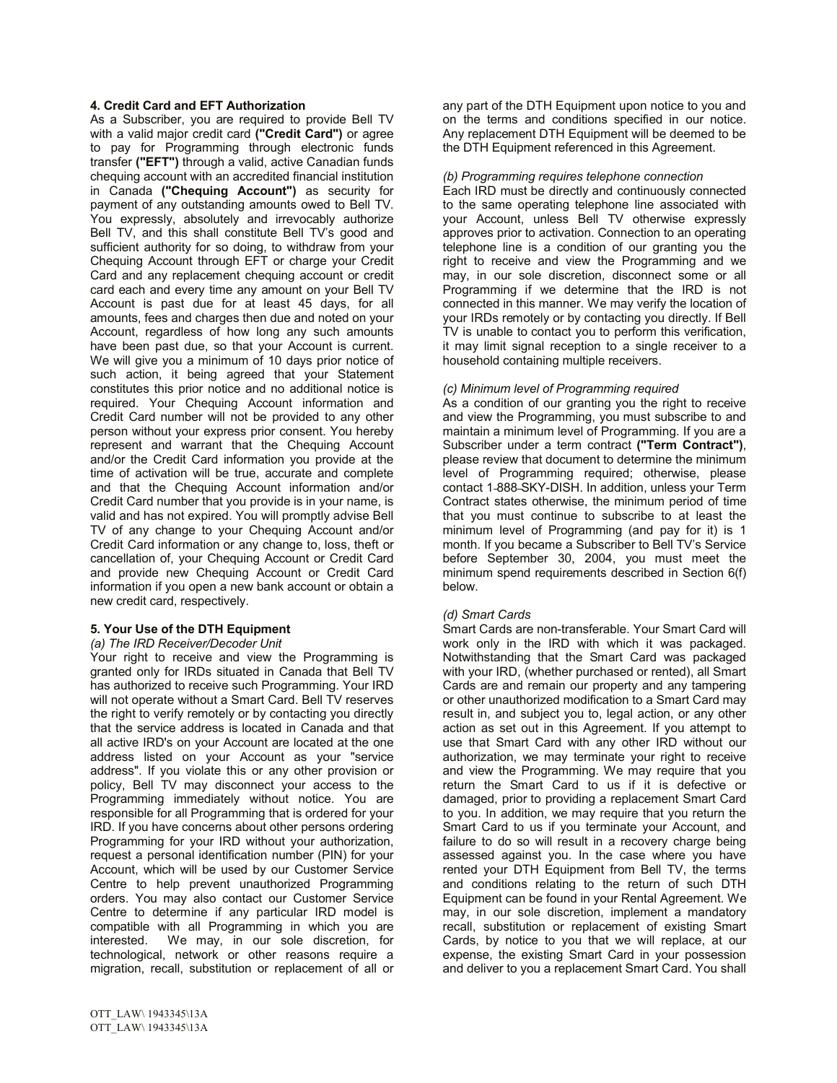# **4. Credit Card and EFT Authorization**

As a Subscriber, you are required to provide Bell TV with a valid major credit card **("Credit Card")** or agree to pay for Programming through electronic funds transfer **("EFT")** through a valid, active Canadian funds chequing account with an accredited financial institution in Canada **("Chequing Account")** as security for payment of any outstanding amounts owed to Bell TV. You expressly, absolutely and irrevocably authorize Bell TV, and this shall constitute Bell TV's good and sufficient authority for so doing, to withdraw from your Chequing Account through EFT or charge your Credit Card and any replacement chequing account or credit card each and every time any amount on your Bell TV Account is past due for at least 45 days, for all amounts, fees and charges then due and noted on your Account, regardless of how long any such amounts have been past due, so that your Account is current. We will give you a minimum of 10 days prior notice of such action, it being agreed that your Statement constitutes this prior notice and no additional notice is required. Your Chequing Account information and Credit Card number will not be provided to any other person without your express prior consent. You hereby represent and warrant that the Chequing Account and/or the Credit Card information you provide at the time of activation will be true, accurate and complete and that the Chequing Account information and/or Credit Card number that you provide is in your name, is valid and has not expired. You will promptly advise Bell TV of any change to your Chequing Account and/or Credit Card information or any change to, loss, theft or cancellation of, your Chequing Account or Credit Card and provide new Chequing Account or Credit Card information if you open a new bank account or obtain a new credit card, respectively.

# **5. Your Use of the DTH Equipment**

# *(a) The IRD Receiver/Decoder Unit*

Your right to receive and view the Programming is granted only for IRDs situated in Canada that Bell TV has authorized to receive such Programming. Your IRD will not operate without a Smart Card. Bell TV reserves the right to verify remotely or by contacting you directly that the service address is located in Canada and that all active IRD's on your Account are located at the one address listed on your Account as your "service address". If you violate this or any other provision or policy, Bell TV may disconnect your access to the Programming immediately without notice. You are responsible for all Programming that is ordered for your IRD. If you have concerns about other persons ordering Programming for your IRD without your authorization, request a personal identification number (PIN) for your Account, which will be used by our Customer Service Centre to help prevent unauthorized Programming orders. You may also contact our Customer Service Centre to determine if any particular IRD model is compatible with all Programming in which you are interested. We may, in our sole discretion, for technological, network or other reasons require a migration, recall, substitution or replacement of all or

any part of the DTH Equipment upon notice to you and on the terms and conditions specified in our notice. Any replacement DTH Equipment will be deemed to be the DTH Equipment referenced in this Agreement.

#### *(b) Programming requires telephone connection*

Each IRD must be directly and continuously connected to the same operating telephone line associated with your Account, unless Bell TV otherwise expressly approves prior to activation. Connection to an operating telephone line is a condition of our granting you the right to receive and view the Programming and we may, in our sole discretion, disconnect some or all Programming if we determine that the IRD is not connected in this manner. We may verify the location of your IRDs remotely or by contacting you directly. If Bell TV is unable to contact you to perform this verification, it may limit signal reception to a single receiver to a household containing multiple receivers.

## *(c) Minimum level of Programming required*

As a condition of our granting you the right to receive and view the Programming, you must subscribe to and maintain a minimum level of Programming. If you are a Subscriber under a term contract **("Term Contract")**, please review that document to determine the minimum level of Programming required; otherwise, please contact 1 888 SKY-DISH. In addition, unless your Term Contract states otherwise, the minimum period of time that you must continue to subscribe to at least the minimum level of Programming (and pay for it) is 1 month. If you became a Subscriber to Bell TV's Service before September 30, 2004, you must meet the minimum spend requirements described in Section 6(f) below.

## *(d) Smart Cards*

Smart Cards are non-transferable. Your Smart Card will work only in the IRD with which it was packaged. Notwithstanding that the Smart Card was packaged with your IRD, (whether purchased or rented), all Smart Cards are and remain our property and any tampering or other unauthorized modification to a Smart Card may result in, and subject you to, legal action, or any other action as set out in this Agreement. If you attempt to use that Smart Card with any other IRD without our authorization, we may terminate your right to receive and view the Programming. We may require that you return the Smart Card to us if it is defective or damaged, prior to providing a replacement Smart Card to you. In addition, we may require that you return the Smart Card to us if you terminate your Account, and failure to do so will result in a recovery charge being assessed against you. In the case where you have rented your DTH Equipment from Bell TV, the terms and conditions relating to the return of such DTH Equipment can be found in your Rental Agreement. We may, in our sole discretion, implement a mandatory recall, substitution or replacement of existing Smart Cards, by notice to you that we will replace, at our expense, the existing Smart Card in your possession and deliver to you a replacement Smart Card. You shall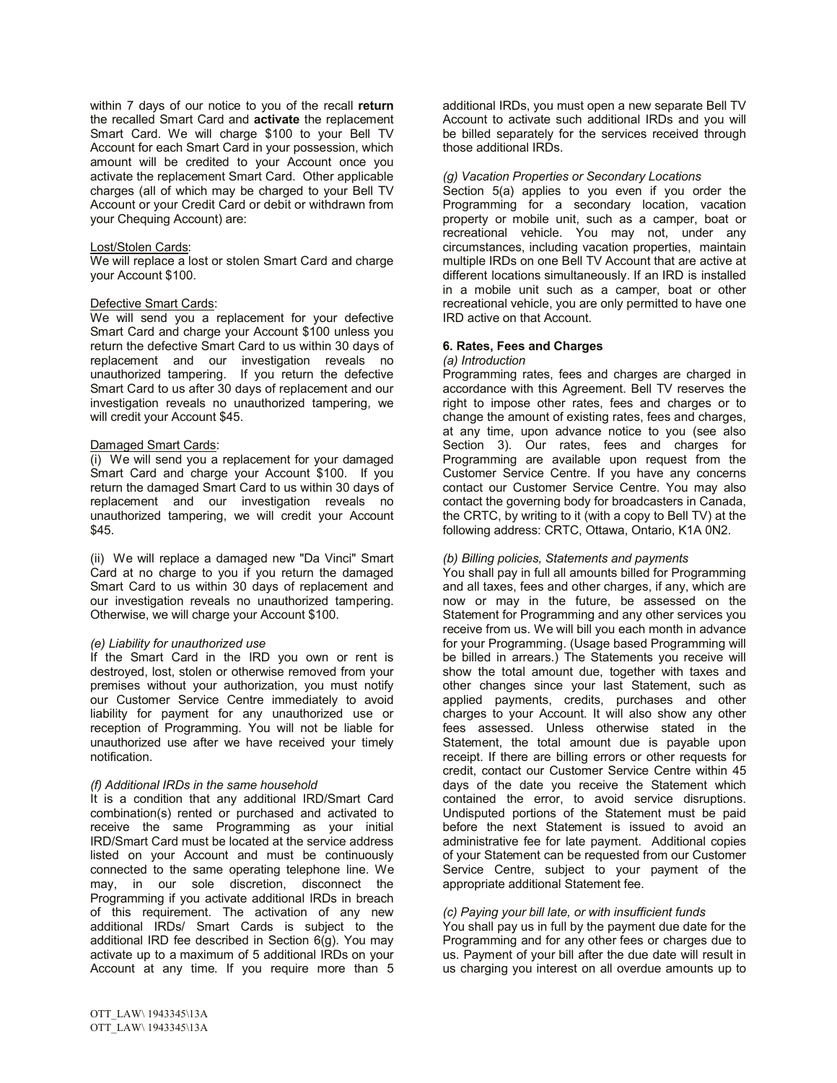within 7 days of our notice to you of the recall **return** the recalled Smart Card and **activate** the replacement Smart Card. We will charge \$100 to your Bell TV Account for each Smart Card in your possession, which amount will be credited to your Account once you activate the replacement Smart Card. Other applicable charges (all of which may be charged to your Bell TV Account or your Credit Card or debit or withdrawn from your Chequing Account) are:

#### Lost/Stolen Cards:

We will replace a lost or stolen Smart Card and charge your Account \$100.

#### Defective Smart Cards:

We will send you a replacement for your defective Smart Card and charge your Account \$100 unless you return the defective Smart Card to us within 30 days of replacement and our investigation reveals no unauthorized tampering. If you return the defective Smart Card to us after 30 days of replacement and our investigation reveals no unauthorized tampering, we will credit your Account \$45.

#### Damaged Smart Cards:

(i) We will send you a replacement for your damaged Smart Card and charge your Account \$100. If you return the damaged Smart Card to us within 30 days of replacement and our investigation reveals no unauthorized tampering, we will credit your Account \$45.

(ii) We will replace a damaged new "Da Vinci" Smart Card at no charge to you if you return the damaged Smart Card to us within 30 days of replacement and our investigation reveals no unauthorized tampering. Otherwise, we will charge your Account \$100.

#### *(e) Liability for unauthorized use*

If the Smart Card in the IRD you own or rent is destroyed, lost, stolen or otherwise removed from your premises without your authorization, you must notify our Customer Service Centre immediately to avoid liability for payment for any unauthorized use or reception of Programming. You will not be liable for unauthorized use after we have received your timely notification.

#### *(f) Additional IRDs in the same household*

It is a condition that any additional IRD/Smart Card combination(s) rented or purchased and activated to receive the same Programming as your initial IRD/Smart Card must be located at the service address listed on your Account and must be continuously connected to the same operating telephone line. We may, in our sole discretion, disconnect the Programming if you activate additional IRDs in breach of this requirement. The activation of any new additional IRDs/ Smart Cards is subject to the additional IRD fee described in Section 6(g). You may activate up to a maximum of 5 additional IRDs on your Account at any time. If you require more than 5

additional IRDs, you must open a new separate Bell TV Account to activate such additional IRDs and you will be billed separately for the services received through those additional IRDs.

#### *(g) Vacation Properties or Secondary Locations*

Section 5(a) applies to you even if you order the Programming for a secondary location, vacation property or mobile unit, such as a camper, boat or recreational vehicle. You may not, under any circumstances, including vacation properties, maintain multiple IRDs on one Bell TV Account that are active at different locations simultaneously. If an IRD is installed in a mobile unit such as a camper, boat or other recreational vehicle, you are only permitted to have one IRD active on that Account.

## **6. Rates, Fees and Charges**

*(a) Introduction*

Programming rates, fees and charges are charged in accordance with this Agreement. Bell TV reserves the right to impose other rates, fees and charges or to change the amount of existing rates, fees and charges, at any time, upon advance notice to you (see also Section 3). Our rates, fees and charges for Programming are available upon request from the Customer Service Centre. If you have any concerns contact our Customer Service Centre. You may also contact the governing body for broadcasters in Canada, the CRTC, by writing to it (with a copy to Bell TV) at the following address: CRTC, Ottawa, Ontario, K1A 0N2.

#### *(b) Billing policies, Statements and payments*

You shall pay in full all amounts billed for Programming and all taxes, fees and other charges, if any, which are now or may in the future, be assessed on the Statement for Programming and any other services you receive from us. We will bill you each month in advance for your Programming. (Usage based Programming will be billed in arrears.) The Statements you receive will show the total amount due, together with taxes and other changes since your last Statement, such as applied payments, credits, purchases and other charges to your Account. It will also show any other fees assessed. Unless otherwise stated in the Statement, the total amount due is payable upon receipt. If there are billing errors or other requests for credit, contact our Customer Service Centre within 45 days of the date you receive the Statement which contained the error, to avoid service disruptions. Undisputed portions of the Statement must be paid before the next Statement is issued to avoid an administrative fee for late payment. Additional copies of your Statement can be requested from our Customer Service Centre, subject to your payment of the appropriate additional Statement fee.

## *(c) Paying your bill late, or with insufficient funds*

You shall pay us in full by the payment due date for the Programming and for any other fees or charges due to us. Payment of your bill after the due date will result in us charging you interest on all overdue amounts up to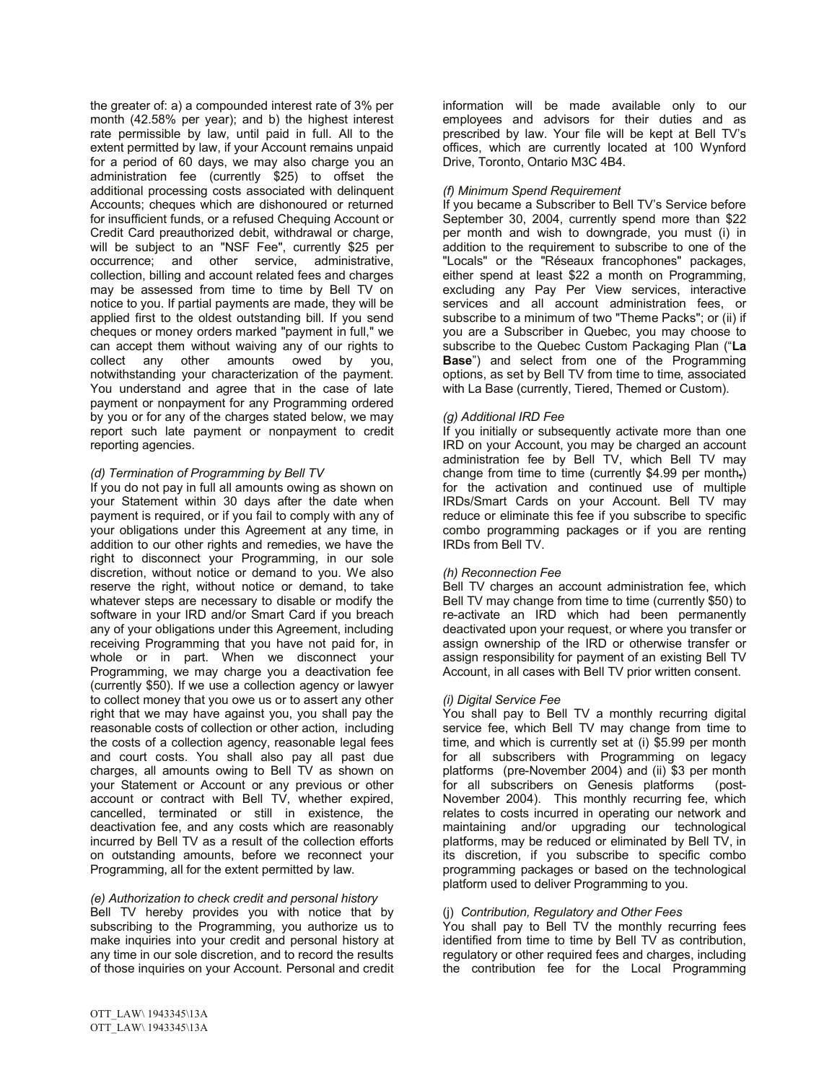the greater of: a) a compounded interest rate of 3% per month (42.58% per year); and b) the highest interest rate permissible by law, until paid in full. All to the extent permitted by law, if your Account remains unpaid for a period of 60 days, we may also charge you an administration fee (currently \$25) to offset the additional processing costs associated with delinquent Accounts; cheques which are dishonoured or returned for insufficient funds, or a refused Chequing Account or Credit Card preauthorized debit, withdrawal or charge, will be subject to an "NSF Fee", currently \$25 per occurrence; and other service, administrative, collection, billing and account related fees and charges may be assessed from time to time by Bell TV on notice to you. If partial payments are made, they will be applied first to the oldest outstanding bill. If you send cheques or money orders marked "payment in full," we can accept them without waiving any of our rights to collect any other amounts owed by you, notwithstanding your characterization of the payment. You understand and agree that in the case of late payment or nonpayment for any Programming ordered by you or for any of the charges stated below, we may report such late payment or nonpayment to credit reporting agencies.

# *(d) Termination of Programming by Bell TV*

If you do not pay in full all amounts owing as shown on your Statement within 30 days after the date when payment is required, or if you fail to comply with any of your obligations under this Agreement at any time, in addition to our other rights and remedies, we have the right to disconnect your Programming, in our sole discretion, without notice or demand to you. We also reserve the right, without notice or demand, to take whatever steps are necessary to disable or modify the software in your IRD and/or Smart Card if you breach any of your obligations under this Agreement, including receiving Programming that you have not paid for, in whole or in part. When we disconnect your Programming, we may charge you a deactivation fee (currently \$50). If we use a collection agency or lawyer to collect money that you owe us or to assert any other right that we may have against you, you shall pay the reasonable costs of collection or other action, including the costs of a collection agency, reasonable legal fees and court costs. You shall also pay all past due charges, all amounts owing to Bell TV as shown on your Statement or Account or any previous or other account or contract with Bell TV, whether expired, cancelled, terminated or still in existence, the deactivation fee, and any costs which are reasonably incurred by Bell TV as a result of the collection efforts on outstanding amounts, before we reconnect your Programming, all for the extent permitted by law.

## *(e) Authorization to check credit and personal history*

Bell TV hereby provides you with notice that by subscribing to the Programming, you authorize us to make inquiries into your credit and personal history at any time in our sole discretion, and to record the results of those inquiries on your Account. Personal and credit

## *(f) Minimum Spend Requirement*

If you became a Subscriber to Bell TV's Service before September 30, 2004, currently spend more than \$22 per month and wish to downgrade, you must (i) in addition to the requirement to subscribe to one of the "Locals" or the "Réseaux francophones" packages, either spend at least \$22 a month on Programming, excluding any Pay Per View services, interactive services and all account administration fees, or subscribe to a minimum of two "Theme Packs"; or (ii) if you are a Subscriber in Quebec, you may choose to subscribe to the Quebec Custom Packaging Plan ("**La Base**") and select from one of the Programming options, as set by Bell TV from time to time, associated with La Base (currently, Tiered, Themed or Custom).

## *(g) Additional IRD Fee*

If you initially or subsequently activate more than one IRD on your Account, you may be charged an account administration fee by Bell TV, which Bell TV may change from time to time (currently \$4.99 per month,) for the activation and continued use of multiple IRDs/Smart Cards on your Account. Bell TV may reduce or eliminate this fee if you subscribe to specific combo programming packages or if you are renting IRDs from Bell TV.

## *(h) Reconnection Fee*

Bell TV charges an account administration fee, which Bell TV may change from time to time (currently \$50) to re-activate an IRD which had been permanently deactivated upon your request, or where you transfer or assign ownership of the IRD or otherwise transfer or assign responsibility for payment of an existing Bell TV Account, in all cases with Bell TV prior written consent.

# *(i) Digital Service Fee*

You shall pay to Bell TV a monthly recurring digital service fee, which Bell TV may change from time to time, and which is currently set at (i) \$5.99 per month for all subscribers with Programming on legacy platforms (pre-November 2004) and (ii) \$3 per month for all subscribers on Genesis platforms (post-November 2004). This monthly recurring fee, which relates to costs incurred in operating our network and maintaining and/or upgrading our technological platforms, may be reduced or eliminated by Bell TV, in its discretion, if you subscribe to specific combo programming packages or based on the technological platform used to deliver Programming to you.

## (j) *Contribution, Regulatory and Other Fees*

You shall pay to Bell TV the monthly recurring fees identified from time to time by Bell TV as contribution, regulatory or other required fees and charges, including the contribution fee for the Local Programming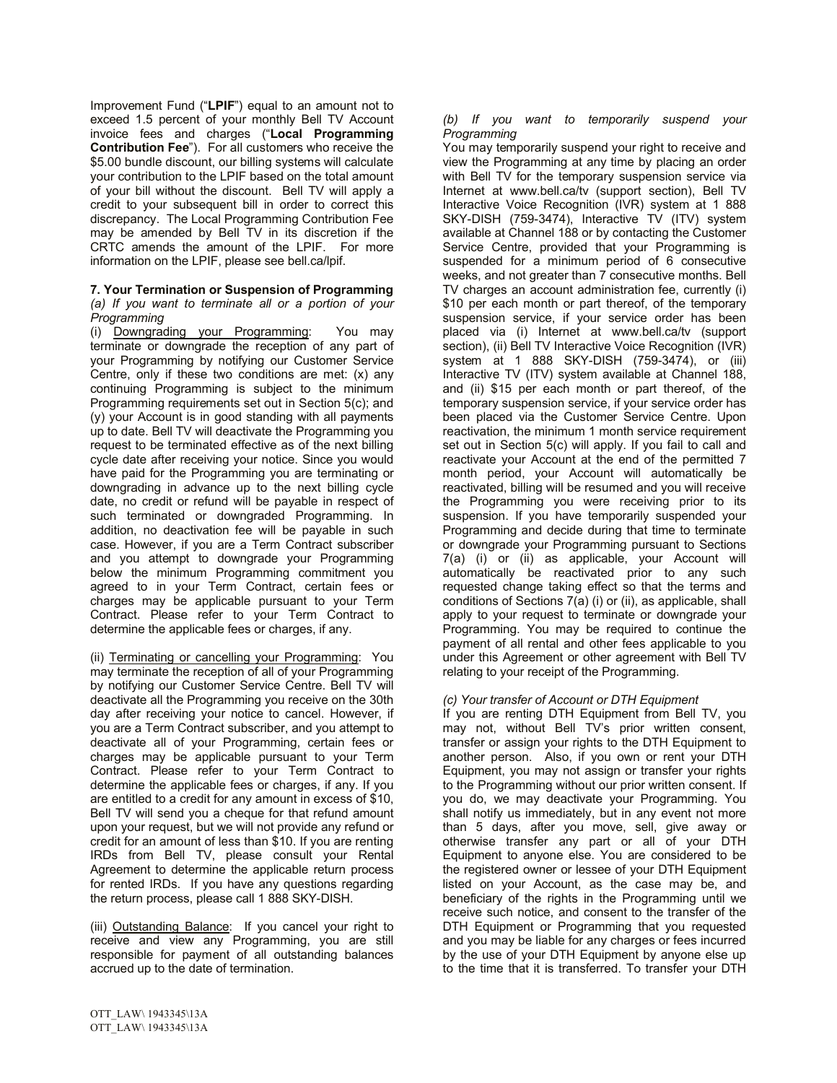Improvement Fund ("**LPIF**") equal to an amount not to exceed 1.5 percent of your monthly Bell TV Account invoice fees and charges ("**Local Programming Contribution Fee**"). For all customers who receive the \$5.00 bundle discount, our billing systems will calculate your contribution to the LPIF based on the total amount of your bill without the discount. Bell TV will apply a credit to your subsequent bill in order to correct this discrepancy. The Local Programming Contribution Fee may be amended by Bell TV in its discretion if the CRTC amends the amount of the LPIF. For more information on the LPIF, please see bell.ca/lpif.

#### **7. Your Termination or Suspension of Programming** *(a) If you want to terminate all or a portion of your Programming*

(i) Downgrading your Programming: You may terminate or downgrade the reception of any part of your Programming by notifying our Customer Service Centre, only if these two conditions are met: (x) any continuing Programming is subject to the minimum Programming requirements set out in Section 5(c); and (y) your Account is in good standing with all payments up to date. Bell TV will deactivate the Programming you request to be terminated effective as of the next billing cycle date after receiving your notice. Since you would have paid for the Programming you are terminating or downgrading in advance up to the next billing cycle date, no credit or refund will be payable in respect of such terminated or downgraded Programming. In addition, no deactivation fee will be payable in such case. However, if you are a Term Contract subscriber and you attempt to downgrade your Programming below the minimum Programming commitment you agreed to in your Term Contract, certain fees or charges may be applicable pursuant to your Term Contract. Please refer to your Term Contract to determine the applicable fees or charges, if any.

(ii) Terminating or cancelling your Programming: You may terminate the reception of all of your Programming by notifying our Customer Service Centre. Bell TV will deactivate all the Programming you receive on the 30th day after receiving your notice to cancel. However, if you are a Term Contract subscriber, and you attempt to deactivate all of your Programming, certain fees or charges may be applicable pursuant to your Term Contract. Please refer to your Term Contract to determine the applicable fees or charges, if any. If you are entitled to a credit for any amount in excess of \$10, Bell TV will send you a cheque for that refund amount upon your request, but we will not provide any refund or credit for an amount of less than \$10. If you are renting IRDs from Bell TV, please consult your Rental Agreement to determine the applicable return process for rented IRDs. If you have any questions regarding the return process, please call 1 888 SKY-DISH.

(iii) Outstanding Balance: If you cancel your right to receive and view any Programming, you are still responsible for payment of all outstanding balances accrued up to the date of termination.

*(b) If you want to temporarily suspend your Programming*

You may temporarily suspend your right to receive and view the Programming at any time by placing an order with Bell TV for the temporary suspension service via Internet at www.bell.ca/tv (support section), Bell TV Interactive Voice Recognition (IVR) system at 1 888 SKY-DISH (759-3474), Interactive TV (ITV) system available at Channel 188 or by contacting the Customer Service Centre, provided that your Programming is suspended for a minimum period of 6 consecutive weeks, and not greater than 7 consecutive months. Bell TV charges an account administration fee, currently (i) \$10 per each month or part thereof, of the temporary suspension service, if your service order has been placed via (i) Internet at www.bell.ca/tv (support section), (ii) Bell TV Interactive Voice Recognition (IVR) system at 1 888 SKY-DISH (759-3474), or (iii) Interactive TV (ITV) system available at Channel 188, and (ii) \$15 per each month or part thereof, of the temporary suspension service, if your service order has been placed via the Customer Service Centre. Upon reactivation, the minimum 1 month service requirement set out in Section 5(c) will apply. If you fail to call and reactivate your Account at the end of the permitted 7 month period, your Account will automatically be reactivated, billing will be resumed and you will receive the Programming you were receiving prior to its suspension. If you have temporarily suspended your Programming and decide during that time to terminate or downgrade your Programming pursuant to Sections 7(a) (i) or (ii) as applicable, your Account will automatically be reactivated prior to any such requested change taking effect so that the terms and conditions of Sections 7(a) (i) or (ii), as applicable, shall apply to your request to terminate or downgrade your Programming. You may be required to continue the payment of all rental and other fees applicable to you under this Agreement or other agreement with Bell TV relating to your receipt of the Programming.

# *(c) Your transfer of Account or DTH Equipment*

If you are renting DTH Equipment from Bell TV, you may not, without Bell TV's prior written consent, transfer or assign your rights to the DTH Equipment to another person. Also, if you own or rent your DTH Equipment, you may not assign or transfer your rights to the Programming without our prior written consent. If you do, we may deactivate your Programming. You shall notify us immediately, but in any event not more than 5 days, after you move, sell, give away or otherwise transfer any part or all of your DTH Equipment to anyone else. You are considered to be the registered owner or lessee of your DTH Equipment listed on your Account, as the case may be, and beneficiary of the rights in the Programming until we receive such notice, and consent to the transfer of the DTH Equipment or Programming that you requested and you may be liable for any charges or fees incurred by the use of your DTH Equipment by anyone else up to the time that it is transferred. To transfer your DTH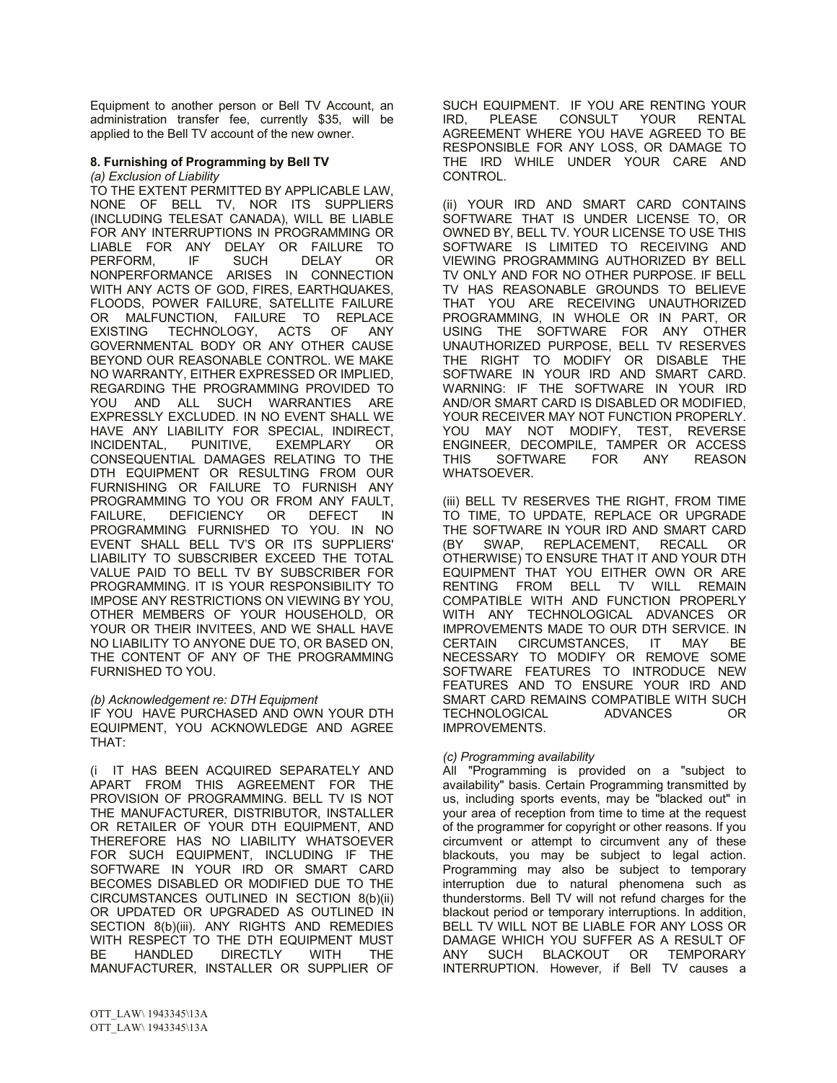Equipment to another person or Bell TV Account, an administration transfer fee, currently \$35, will be applied to the Bell TV account of the new owner.

# **8. Furnishing of Programming by Bell TV**

*(a) Exclusion of Liability* TO THE EXTENT PERMITTED BY APPLICABLE LAW, NONE OF BELL TV, NOR ITS SUPPLIERS (INCLUDING TELESAT CANADA), WILL BE LIABLE FOR ANY INTERRUPTIONS IN PROGRAMMING OR LIABLE FOR ANY DELAY OR FAILURE TO PERFORM, IF SUCH DELAY OR NONPERFORMANCE ARISES IN CONNECTION WITH ANY ACTS OF GOD, FIRES, EARTHQUAKES, FLOODS, POWER FAILURE, SATELLITE FAILURE OR MALFUNCTION, FAILURE TO REPLACE<br>EXISTING TECHNOLOGY, ACTS OF ANY TECHNOLOGY, ACTS OF ANY GOVERNMENTAL BODY OR ANY OTHER CAUSE BEYOND OUR REASONABLE CONTROL. WE MAKE NO WARRANTY, EITHER EXPRESSED OR IMPLIED, REGARDING THE PROGRAMMING PROVIDED TO YOU AND ALL SUCH WARRANTIES ARE EXPRESSLY EXCLUDED. IN NO EVENT SHALL WE HAVE ANY LIABILITY FOR SPECIAL, INDIRECT, INCIDENTAL, CONSEQUENTIAL DAMAGES RELATING TO THE DTH EQUIPMENT OR RESULTING FROM OUR FURNISHING OR FAILURE TO FURNISH ANY PROGRAMMING TO YOU OR FROM ANY FAULT, FAILURE, DEFICIENCY OR DEFECT IN PROGRAMMING FURNISHED TO YOU. IN NO EVENT SHALL BELL TV'S OR ITS SUPPLIERS' LIABILITY TO SUBSCRIBER EXCEED THE TOTAL VALUE PAID TO BELL TV BY SUBSCRIBER FOR PROGRAMMING. IT IS YOUR RESPONSIBILITY TO IMPOSE ANY RESTRICTIONS ON VIEWING BY YOU, OTHER MEMBERS OF YOUR HOUSEHOLD, OR YOUR OR THEIR INVITEES, AND WE SHALL HAVE NO LIABILITY TO ANYONE DUE TO, OR BASED ON, THE CONTENT OF ANY OF THE PROGRAMMING FURNISHED TO YOU.

*(b) Acknowledgement re: DTH Equipment*

IF YOU HAVE PURCHASED AND OWN YOUR DTH EQUIPMENT, YOU ACKNOWLEDGE AND AGREE THAT:

(i IT HAS BEEN ACQUIRED SEPARATELY AND APART FROM THIS AGREEMENT FOR THE PROVISION OF PROGRAMMING. BELL TV IS NOT THE MANUFACTURER, DISTRIBUTOR, INSTALLER OR RETAILER OF YOUR DTH EQUIPMENT, AND THEREFORE HAS NO LIABILITY WHATSOEVER FOR SUCH EQUIPMENT, INCLUDING IF THE SOFTWARE IN YOUR IRD OR SMART CARD BECOMES DISABLED OR MODIFIED DUE TO THE CIRCUMSTANCES OUTLINED IN SECTION 8(b)(ii) OR UPDATED OR UPGRADED AS OUTLINED IN SECTION 8(b)(iii). ANY RIGHTS AND REMEDIES WITH RESPECT TO THE DTH EQUIPMENT MUST<br>BE HANDLED DIRECTLY WITH THE BE HANDLED DIRECTLY WITH MANUFACTURER, INSTALLER OR SUPPLIER OF

TV HAS REASONABLE GROUNDS TO BELIEVE THAT YOU ARE RECEIVING UNAUTHORIZED PROGRAMMING, IN WHOLE OR IN PART, OR USING THE SOFTWARE FOR ANY OTHER UNAUTHORIZED PURPOSE, BELL TV RESERVES THE RIGHT TO MODIFY OR DISABLE THE

CONTROL.

SOFTWARE IN YOUR IRD AND SMART CARD. WARNING: IF THE SOFTWARE IN YOUR IRD AND/OR SMART CARD IS DISABLED OR MODIFIED, YOUR RECEIVER MAY NOT FUNCTION PROPERLY. YOU MAY NOT MODIFY, TEST, REVERSE ENGINEER, DECOMPILE, TAMPER OR ACCESS THIS SOFTWARE FOR ANY REASON WHATSOEVER.

SUCH EQUIPMENT. IF YOU ARE RENTING YOUR IRD, PLEASE CONSULT YOUR RENTAL AGREEMENT WHERE YOU HAVE AGREED TO BE RESPONSIBLE FOR ANY LOSS, OR DAMAGE TO THE IRD WHILE UNDER YOUR CARE AND

(ii) YOUR IRD AND SMART CARD CONTAINS SOFTWARE THAT IS UNDER LICENSE TO, OR OWNED BY, BELL TV. YOUR LICENSE TO USE THIS SOFTWARE IS LIMITED TO RECEIVING AND VIEWING PROGRAMMING AUTHORIZED BY BELL TV ONLY AND FOR NO OTHER PURPOSE. IF BELL

(iii) BELL TV RESERVES THE RIGHT, FROM TIME TO TIME, TO UPDATE, REPLACE OR UPGRADE THE SOFTWARE IN YOUR IRD AND SMART CARD (BY SWAP, REPLACEMENT, RECALL OR OTHERWISE) TO ENSURE THAT IT AND YOUR DTH EQUIPMENT THAT YOU EITHER OWN OR ARE<br>RENTING FROM BELL TV WILL REMAIN RENTING FROM BELL TV COMPATIBLE WITH AND FUNCTION PROPERLY WITH ANY TECHNOLOGICAL ADVANCES OR IMPROVEMENTS MADE TO OUR DTH SERVICE. IN CERTAIN CIRCUMSTANCES, IT MAY BE NECESSARY TO MODIFY OR REMOVE SOME SOFTWARE FEATURES TO INTRODUCE NEW FEATURES AND TO ENSURE YOUR IRD AND SMART CARD REMAINS COMPATIBLE WITH SUCH TECHNOLOGICAL ADVANCES OR IMPROVEMENTS.

# *(c) Programming availability*

All "Programming is provided on a "subject to availability" basis. Certain Programming transmitted by us, including sports events, may be "blacked out" in your area of reception from time to time at the request of the programmer for copyright or other reasons. If you circumvent or attempt to circumvent any of these blackouts, you may be subject to legal action. Programming may also be subject to temporary interruption due to natural phenomena such as thunderstorms. Bell TV will not refund charges for the blackout period or temporary interruptions. In addition, BELL TV WILL NOT BE LIABLE FOR ANY LOSS OR DAMAGE WHICH YOU SUFFER AS A RESULT OF ANY SUCH BLACKOUT OR TEMPORARY INTERRUPTION. However, if Bell TV causes a